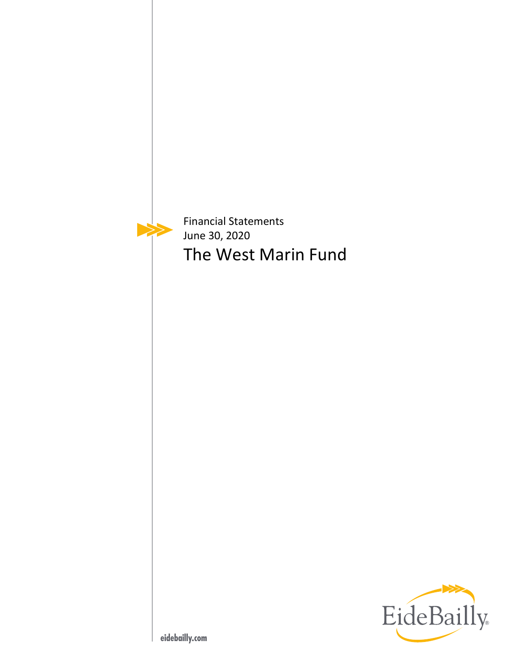

Financial Statements June 30, 2020 The West Marin Fund

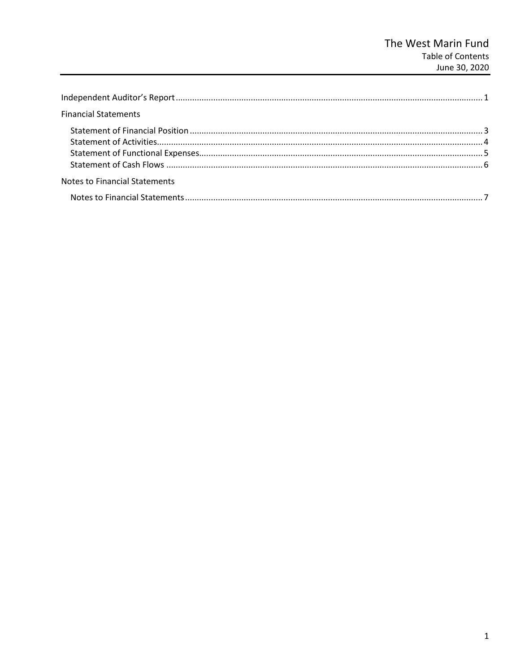| <b>Financial Statements</b>          |  |
|--------------------------------------|--|
|                                      |  |
|                                      |  |
|                                      |  |
|                                      |  |
| <b>Notes to Financial Statements</b> |  |
|                                      |  |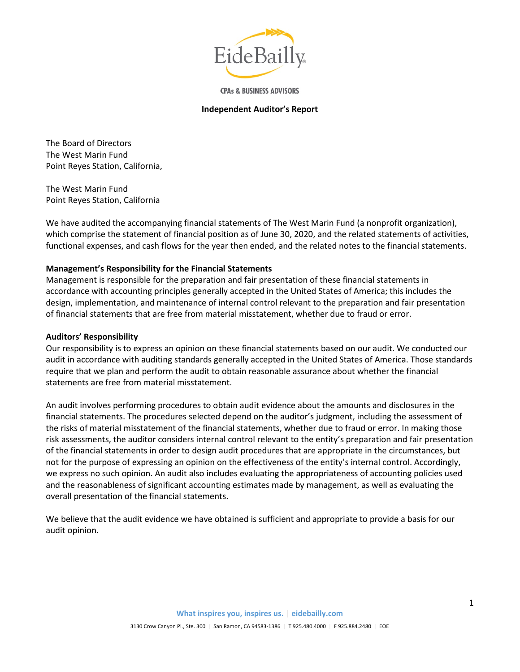

**CPAs & BUSINESS ADVISORS** 

#### **Independent Auditor's Report**

The Board of Directors The West Marin Fund Point Reyes Station, California,

The West Marin Fund Point Reyes Station, California

We have audited the accompanying financial statements of The West Marin Fund (a nonprofit organization), which comprise the statement of financial position as of June 30, 2020, and the related statements of activities, functional expenses, and cash flows for the year then ended, and the related notes to the financial statements.

#### **Management's Responsibility for the Financial Statements**

Management is responsible for the preparation and fair presentation of these financial statements in accordance with accounting principles generally accepted in the United States of America; this includes the design, implementation, and maintenance of internal control relevant to the preparation and fair presentation of financial statements that are free from material misstatement, whether due to fraud or error.

#### **Auditors' Responsibility**

Our responsibility is to express an opinion on these financial statements based on our audit. We conducted our audit in accordance with auditing standards generally accepted in the United States of America. Those standards require that we plan and perform the audit to obtain reasonable assurance about whether the financial statements are free from material misstatement.

An audit involves performing procedures to obtain audit evidence about the amounts and disclosures in the financial statements. The procedures selected depend on the auditor's judgment, including the assessment of the risks of material misstatement of the financial statements, whether due to fraud or error. In making those risk assessments, the auditor considers internal control relevant to the entity's preparation and fair presentation of the financial statements in order to design audit procedures that are appropriate in the circumstances, but not for the purpose of expressing an opinion on the effectiveness of the entity's internal control. Accordingly, we express no such opinion. An audit also includes evaluating the appropriateness of accounting policies used and the reasonableness of significant accounting estimates made by management, as well as evaluating the overall presentation of the financial statements.

We believe that the audit evidence we have obtained is sufficient and appropriate to provide a basis for our audit opinion.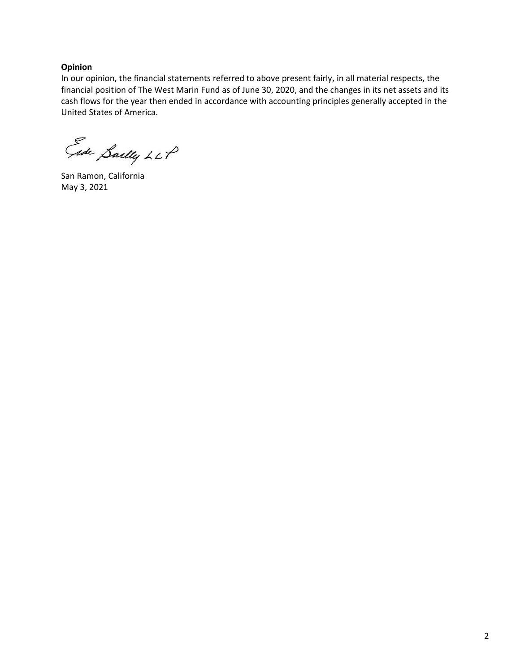## **Opinion**

In our opinion, the financial statements referred to above present fairly, in all material respects, the financial position of The West Marin Fund as of June 30, 2020, and the changes in its net assets and its cash flows for the year then ended in accordance with accounting principles generally accepted in the United States of America.

Ede Sailly LLP

San Ramon, California May 3, 2021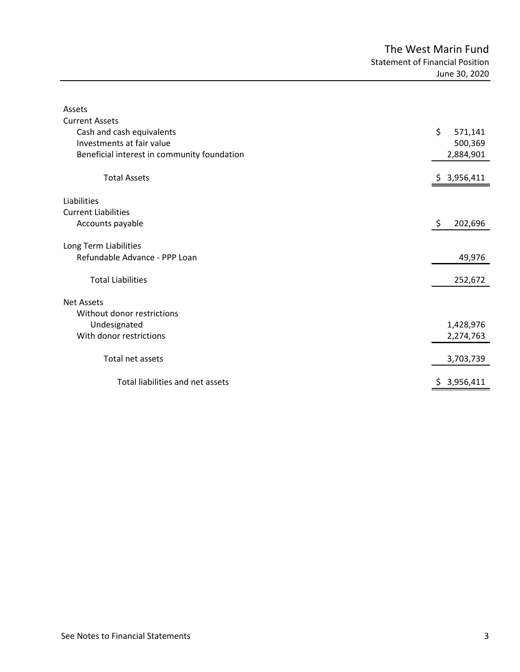| Assets                                      |               |
|---------------------------------------------|---------------|
| <b>Current Assets</b>                       |               |
| Cash and cash equivalents                   | \$<br>571,141 |
| Investments at fair value                   | 500,369       |
| Beneficial interest in community foundation | 2,884,901     |
| <b>Total Assets</b>                         |               |
|                                             | \$3,956,411   |
| Liabilities                                 |               |
| <b>Current Liabilities</b>                  |               |
| Accounts payable                            | \$<br>202,696 |
|                                             |               |
| Long Term Liabilities                       |               |
| Refundable Advance - PPP Loan               | 49,976        |
|                                             |               |
| <b>Total Liabilities</b>                    | 252,672       |
|                                             |               |
| <b>Net Assets</b>                           |               |
| Without donor restrictions                  |               |
| Undesignated                                | 1,428,976     |
| With donor restrictions                     | 2,274,763     |
|                                             |               |
| Total net assets                            | 3,703,739     |
|                                             |               |
| Total liabilities and net assets            | \$3,956,411   |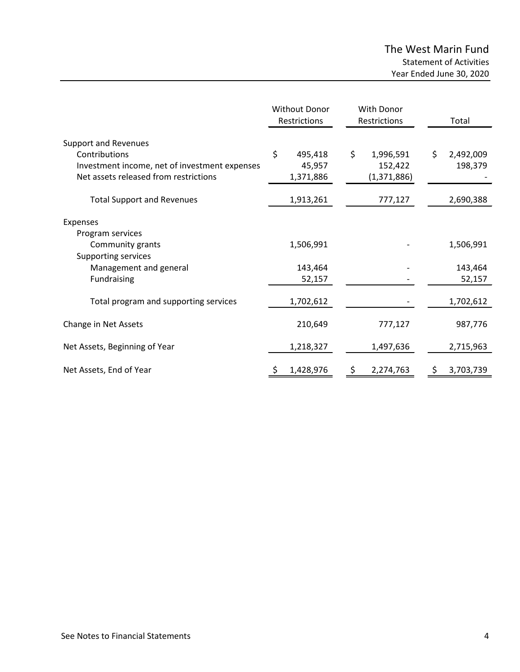|                                               | <b>Without Donor</b><br>Restrictions | With Donor<br>Restrictions | Total            |
|-----------------------------------------------|--------------------------------------|----------------------------|------------------|
| <b>Support and Revenues</b>                   |                                      |                            |                  |
| Contributions                                 | \$<br>495,418                        | \$<br>1,996,591            | \$.<br>2,492,009 |
| Investment income, net of investment expenses | 45,957                               | 152,422                    | 198,379          |
| Net assets released from restrictions         | 1,371,886                            | (1,371,886)                |                  |
| <b>Total Support and Revenues</b>             | 1,913,261                            | 777,127                    | 2,690,388        |
| Expenses                                      |                                      |                            |                  |
| Program services                              |                                      |                            |                  |
| Community grants                              | 1,506,991                            |                            | 1,506,991        |
| <b>Supporting services</b>                    |                                      |                            |                  |
| Management and general                        | 143,464                              |                            | 143,464          |
| Fundraising                                   | 52,157                               |                            | 52,157           |
| Total program and supporting services         | 1,702,612                            |                            | 1,702,612        |
| Change in Net Assets                          | 210,649                              | 777,127                    | 987,776          |
| Net Assets, Beginning of Year                 | 1,218,327                            | 1,497,636                  | 2,715,963        |
| Net Assets, End of Year                       | 1,428,976                            | \$<br>2,274,763            | 3,703,739        |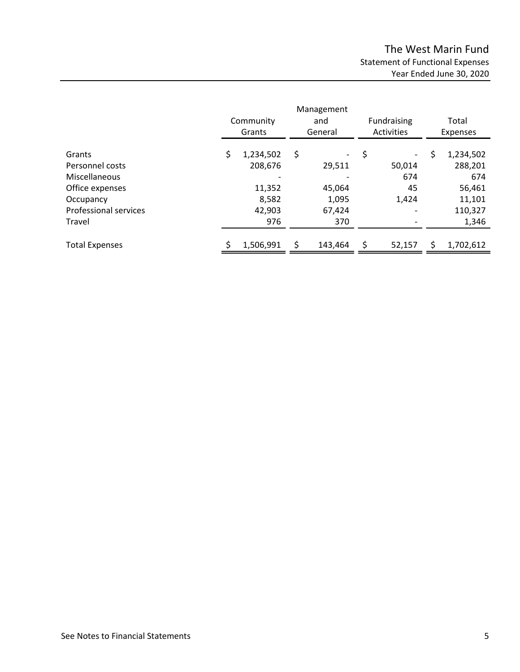# The West Marin Fund Statement of Functional Expenses Year Ended June 30, 2020

|                       | Community<br>Grants |    | Management<br>and<br>General | Fundraising<br>Activities |                          |    | Total<br>Expenses |  |  |
|-----------------------|---------------------|----|------------------------------|---------------------------|--------------------------|----|-------------------|--|--|
| Grants                | \$<br>1,234,502     | \$ | $\overline{\phantom{a}}$     | \$                        | $\overline{\phantom{a}}$ | \$ | 1,234,502         |  |  |
| Personnel costs       | 208,676             |    | 29,511                       |                           | 50,014                   |    | 288,201           |  |  |
| Miscellaneous         |                     |    |                              |                           | 674                      |    | 674               |  |  |
| Office expenses       | 11,352              |    | 45,064                       |                           | 45                       |    | 56,461            |  |  |
| Occupancy             | 8,582               |    | 1,095                        |                           | 1,424                    |    | 11,101            |  |  |
| Professional services | 42,903              |    | 67,424                       |                           |                          |    | 110,327           |  |  |
| Travel                | 976                 |    | 370                          |                           |                          |    | 1,346             |  |  |
| <b>Total Expenses</b> | 1,506,991           | \$ | 143,464                      | \$                        | 52,157                   | Ś  | 1,702,612         |  |  |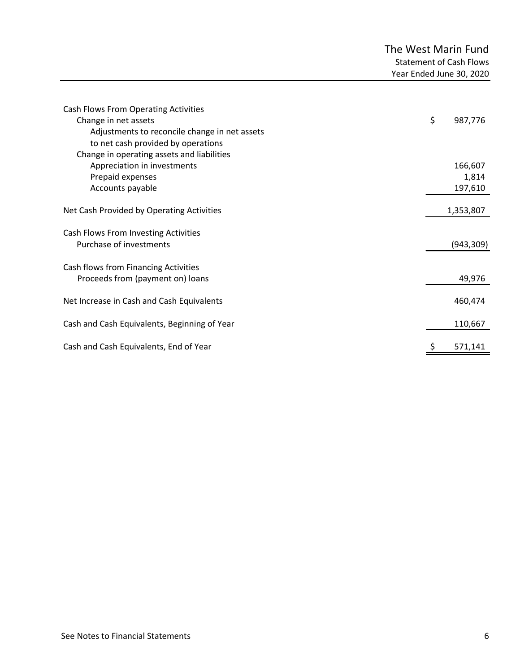# The West Marin Fund Statement of Cash Flows Year Ended June 30, 2020

| Cash Flows From Operating Activities<br>Change in net assets<br>Adjustments to reconcile change in net assets<br>to net cash provided by operations<br>Change in operating assets and liabilities | \$<br>987,776 |
|---------------------------------------------------------------------------------------------------------------------------------------------------------------------------------------------------|---------------|
| Appreciation in investments                                                                                                                                                                       | 166,607       |
| Prepaid expenses                                                                                                                                                                                  | 1,814         |
| Accounts payable                                                                                                                                                                                  | 197,610       |
| Net Cash Provided by Operating Activities                                                                                                                                                         | 1,353,807     |
| Cash Flows From Investing Activities<br>Purchase of investments                                                                                                                                   | (943, 309)    |
| Cash flows from Financing Activities                                                                                                                                                              |               |
| Proceeds from (payment on) loans                                                                                                                                                                  | 49,976        |
| Net Increase in Cash and Cash Equivalents                                                                                                                                                         | 460,474       |
| Cash and Cash Equivalents, Beginning of Year                                                                                                                                                      | 110,667       |
| Cash and Cash Equivalents, End of Year                                                                                                                                                            | 571,141       |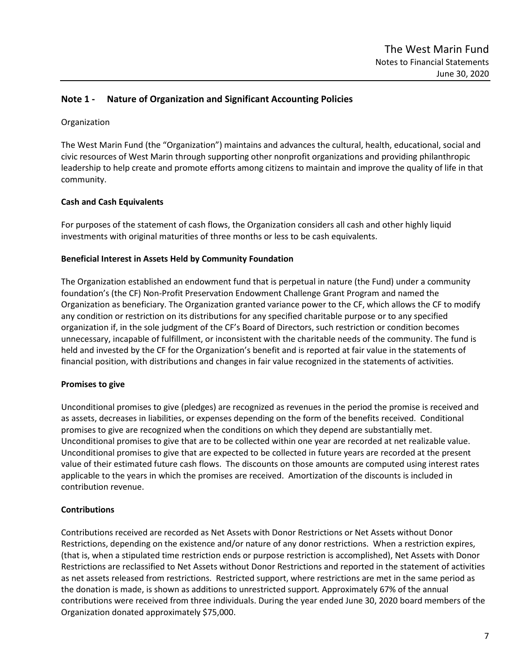# **Note 1 - Nature of Organization and Significant Accounting Policies**

#### Organization

The West Marin Fund (the "Organization") maintains and advances the cultural, health, educational, social and civic resources of West Marin through supporting other nonprofit organizations and providing philanthropic leadership to help create and promote efforts among citizens to maintain and improve the quality of life in that community.

#### **Cash and Cash Equivalents**

For purposes of the statement of cash flows, the Organization considers all cash and other highly liquid investments with original maturities of three months or less to be cash equivalents.

#### **Beneficial Interest in Assets Held by Community Foundation**

The Organization established an endowment fund that is perpetual in nature (the Fund) under a community foundation's (the CF) Non-Profit Preservation Endowment Challenge Grant Program and named the Organization as beneficiary. The Organization granted variance power to the CF, which allows the CF to modify any condition or restriction on its distributions for any specified charitable purpose or to any specified organization if, in the sole judgment of the CF's Board of Directors, such restriction or condition becomes unnecessary, incapable of fulfillment, or inconsistent with the charitable needs of the community. The fund is held and invested by the CF for the Organization's benefit and is reported at fair value in the statements of financial position, with distributions and changes in fair value recognized in the statements of activities.

## **Promises to give**

Unconditional promises to give (pledges) are recognized as revenues in the period the promise is received and as assets, decreases in liabilities, or expenses depending on the form of the benefits received. Conditional promises to give are recognized when the conditions on which they depend are substantially met. Unconditional promises to give that are to be collected within one year are recorded at net realizable value. Unconditional promises to give that are expected to be collected in future years are recorded at the present value of their estimated future cash flows. The discounts on those amounts are computed using interest rates applicable to the years in which the promises are received. Amortization of the discounts is included in contribution revenue.

## **Contributions**

Contributions received are recorded as Net Assets with Donor Restrictions or Net Assets without Donor Restrictions, depending on the existence and/or nature of any donor restrictions. When a restriction expires, (that is, when a stipulated time restriction ends or purpose restriction is accomplished), Net Assets with Donor Restrictions are reclassified to Net Assets without Donor Restrictions and reported in the statement of activities as net assets released from restrictions. Restricted support, where restrictions are met in the same period as the donation is made, is shown as additions to unrestricted support*.* Approximately 67% of the annual contributions were received from three individuals. During the year ended June 30, 2020 board members of the Organization donated approximately \$75,000.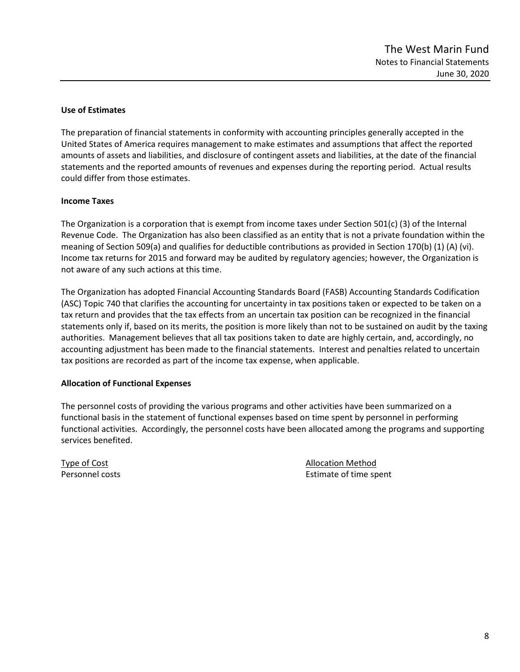## **Use of Estimates**

The preparation of financial statements in conformity with accounting principles generally accepted in the United States of America requires management to make estimates and assumptions that affect the reported amounts of assets and liabilities, and disclosure of contingent assets and liabilities, at the date of the financial statements and the reported amounts of revenues and expenses during the reporting period. Actual results could differ from those estimates.

#### **Income Taxes**

The Organization is a corporation that is exempt from income taxes under Section 501(c) (3) of the Internal Revenue Code. The Organization has also been classified as an entity that is not a private foundation within the meaning of Section 509(a) and qualifies for deductible contributions as provided in Section 170(b) (1) (A) (vi). Income tax returns for 2015 and forward may be audited by regulatory agencies; however, the Organization is not aware of any such actions at this time.

The Organization has adopted Financial Accounting Standards Board (FASB) Accounting Standards Codification (ASC) Topic 740 that clarifies the accounting for uncertainty in tax positions taken or expected to be taken on a tax return and provides that the tax effects from an uncertain tax position can be recognized in the financial statements only if, based on its merits, the position is more likely than not to be sustained on audit by the taxing authorities. Management believes that all tax positions taken to date are highly certain, and, accordingly, no accounting adjustment has been made to the financial statements. Interest and penalties related to uncertain tax positions are recorded as part of the income tax expense, when applicable.

## **Allocation of Functional Expenses**

The personnel costs of providing the various programs and other activities have been summarized on a functional basis in the statement of functional expenses based on time spent by personnel in performing functional activities. Accordingly, the personnel costs have been allocated among the programs and supporting services benefited.

Type of Cost **Allocation Method** Allocation Method Personnel costs **Estimate of time spent** Estimate of time spent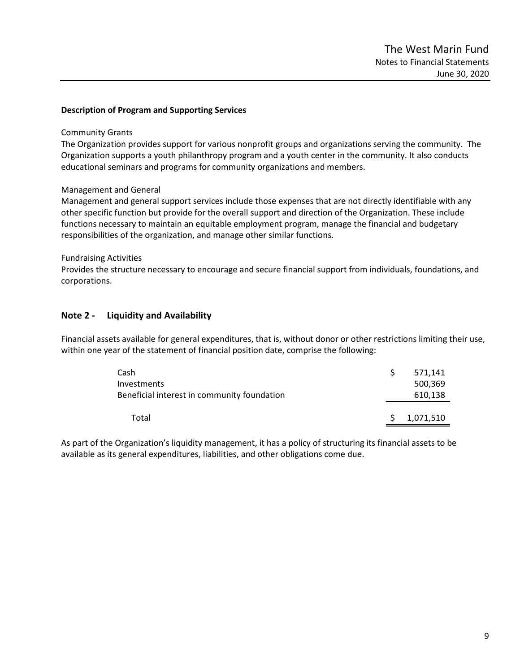#### **Description of Program and Supporting Services**

#### Community Grants

The Organization provides support for various nonprofit groups and organizations serving the community. The Organization supports a youth philanthropy program and a youth center in the community. It also conducts educational seminars and programs for community organizations and members.

#### Management and General

Management and general support services include those expenses that are not directly identifiable with any other specific function but provide for the overall support and direction of the Organization. These include functions necessary to maintain an equitable employment program, manage the financial and budgetary responsibilities of the organization, and manage other similar functions.

#### Fundraising Activities

Provides the structure necessary to encourage and secure financial support from individuals, foundations, and corporations.

# **Note 2 - Liquidity and Availability**

Financial assets available for general expenditures, that is, without donor or other restrictions limiting their use, within one year of the statement of financial position date, comprise the following:

| Cash                                        |    | 571.141   |
|---------------------------------------------|----|-----------|
| <b>Investments</b>                          |    | 500,369   |
| Beneficial interest in community foundation |    | 610,138   |
|                                             |    |           |
| Total                                       | S. | 1,071,510 |

As part of the Organization's liquidity management, it has a policy of structuring its financial assets to be available as its general expenditures, liabilities, and other obligations come due.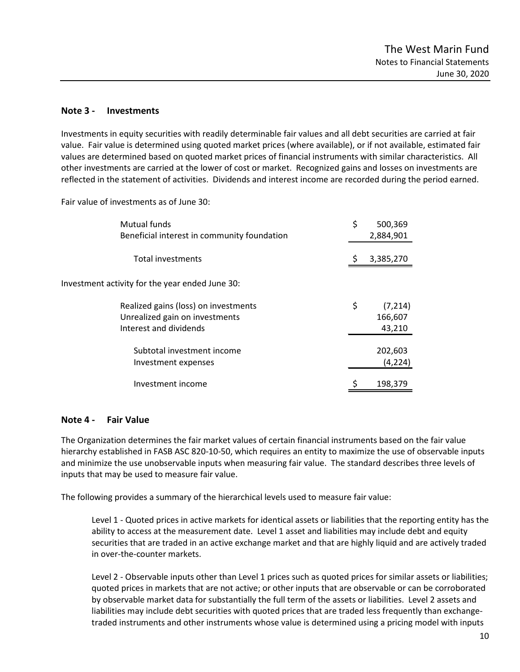# **Note 3 - Investments**

Investments in equity securities with readily determinable fair values and all debt securities are carried at fair value. Fair value is determined using quoted market prices (where available), or if not available, estimated fair values are determined based on quoted market prices of financial instruments with similar characteristics. All other investments are carried at the lower of cost or market. Recognized gains and losses on investments are reflected in the statement of activities. Dividends and interest income are recorded during the period earned.

Fair value of investments as of June 30:

| Mutual funds<br>Beneficial interest in community foundation                                      | \$ | 500,369<br>2,884,901          |
|--------------------------------------------------------------------------------------------------|----|-------------------------------|
| Total investments                                                                                |    | 3,385,270                     |
| Investment activity for the year ended June 30:                                                  |    |                               |
| Realized gains (loss) on investments<br>Unrealized gain on investments<br>Interest and dividends | \$ | (7, 214)<br>166,607<br>43,210 |
| Subtotal investment income<br>Investment expenses                                                |    | 202,603<br>(4, 224)           |
| Investment income                                                                                | Ş  | 198,379                       |

## **Note 4 - Fair Value**

The Organization determines the fair market values of certain financial instruments based on the fair value hierarchy established in FASB ASC 820-10-50, which requires an entity to maximize the use of observable inputs and minimize the use unobservable inputs when measuring fair value. The standard describes three levels of inputs that may be used to measure fair value.

The following provides a summary of the hierarchical levels used to measure fair value:

Level 1 - Quoted prices in active markets for identical assets or liabilities that the reporting entity has the ability to access at the measurement date. Level 1 asset and liabilities may include debt and equity securities that are traded in an active exchange market and that are highly liquid and are actively traded in over-the-counter markets.

Level 2 - Observable inputs other than Level 1 prices such as quoted prices for similar assets or liabilities; quoted prices in markets that are not active; or other inputs that are observable or can be corroborated by observable market data for substantially the full term of the assets or liabilities. Level 2 assets and liabilities may include debt securities with quoted prices that are traded less frequently than exchangetraded instruments and other instruments whose value is determined using a pricing model with inputs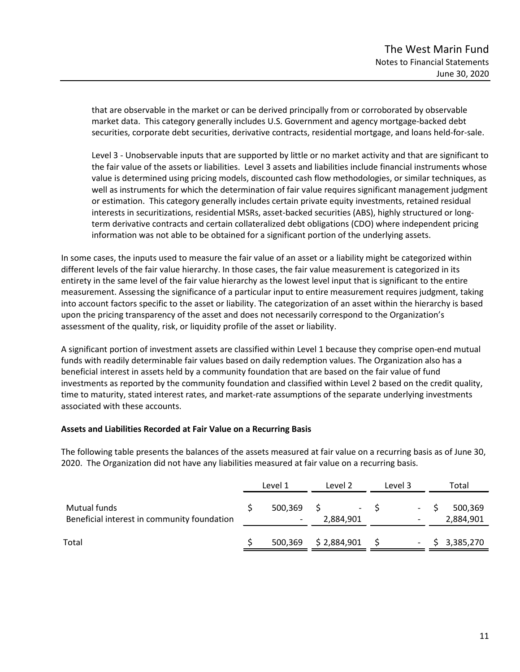that are observable in the market or can be derived principally from or corroborated by observable market data. This category generally includes U.S. Government and agency mortgage-backed debt securities, corporate debt securities, derivative contracts, residential mortgage, and loans held-for-sale.

Level 3 - Unobservable inputs that are supported by little or no market activity and that are significant to the fair value of the assets or liabilities. Level 3 assets and liabilities include financial instruments whose value is determined using pricing models, discounted cash flow methodologies, or similar techniques, as well as instruments for which the determination of fair value requires significant management judgment or estimation. This category generally includes certain private equity investments, retained residual interests in securitizations, residential MSRs, asset-backed securities (ABS), highly structured or longterm derivative contracts and certain collateralized debt obligations (CDO) where independent pricing information was not able to be obtained for a significant portion of the underlying assets.

In some cases, the inputs used to measure the fair value of an asset or a liability might be categorized within different levels of the fair value hierarchy. In those cases, the fair value measurement is categorized in its entirety in the same level of the fair value hierarchy as the lowest level input that is significant to the entire measurement. Assessing the significance of a particular input to entire measurement requires judgment, taking into account factors specific to the asset or liability. The categorization of an asset within the hierarchy is based upon the pricing transparency of the asset and does not necessarily correspond to the Organization's assessment of the quality, risk, or liquidity profile of the asset or liability.

A significant portion of investment assets are classified within Level 1 because they comprise open-end mutual funds with readily determinable fair values based on daily redemption values. The Organization also has a beneficial interest in assets held by a community foundation that are based on the fair value of fund investments as reported by the community foundation and classified within Level 2 based on the credit quality, time to maturity, stated interest rates, and market-rate assumptions of the separate underlying investments associated with these accounts.

## **Assets and Liabilities Recorded at Fair Value on a Recurring Basis**

The following table presents the balances of the assets measured at fair value on a recurring basis as of June 30, 2020. The Organization did not have any liabilities measured at fair value on a recurring basis.

|                                                             | Level 1                             | Level 2             |       | Level 3                       | Total                |
|-------------------------------------------------------------|-------------------------------------|---------------------|-------|-------------------------------|----------------------|
| Mutual funds<br>Beneficial interest in community foundation | 500,369<br>$\overline{\phantom{0}}$ | 2,884,901           | $- S$ | $\overline{\phantom{a}}$<br>- | 500,369<br>2,884,901 |
| Total                                                       |                                     | 500,369 \$2,884,901 |       | -                             | \$3,385,270          |